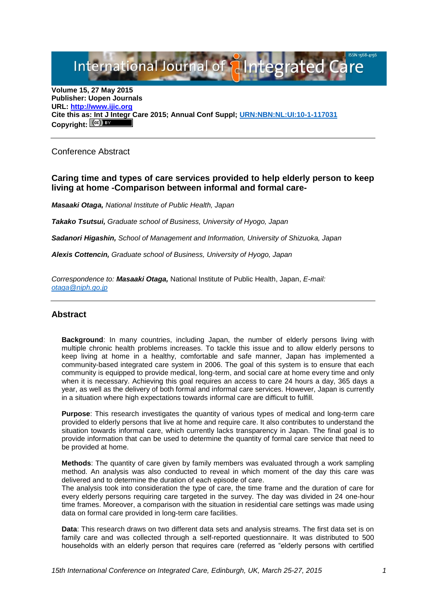International Journal of **Plantegrated Care** 

**Volume 15, 27 May 2015 Publisher: Uopen Journals URL: [http://www.ijic.org](http://www.ijic.org/) Cite this as: Int J Integr Care 2015; Annual Conf Suppl; [URN:NBN:NL:UI:10-1-117031](http://persistent-identifier.nl/?identifier=URN:NBN:NL:UI:10-1-117031)** Copyright:  $(cc)$  BY

Conference Abstract

## **Caring time and types of care services provided to help elderly person to keep living at home -Comparison between informal and formal care-**

*Masaaki Otaga, National Institute of Public Health, Japan*

*Takako Tsutsui, Graduate school of Business, University of Hyogo, Japan*

*Sadanori Higashin, School of Management and Information, University of Shizuoka, Japan*

*Alexis Cottencin, Graduate school of Business, University of Hyogo, Japan*

*Correspondence to: Masaaki Otaga,* National Institute of Public Health, Japan, *E-mail: [otaga@niph.go.jp](mailto:otaga@niph.go.jp)*

## **Abstract**

**Background**: In many countries, including Japan, the number of elderly persons living with multiple chronic health problems increases. To tackle this issue and to allow elderly persons to keep living at home in a healthy, comfortable and safe manner, Japan has implemented a community-based integrated care system in 2006. The goal of this system is to ensure that each community is equipped to provide medical, long-term, and social care at home every time and only when it is necessary. Achieving this goal requires an access to care 24 hours a day, 365 days a year, as well as the delivery of both formal and informal care services. However, Japan is currently in a situation where high expectations towards informal care are difficult to fulfill.

**Purpose**: This research investigates the quantity of various types of medical and long-term care provided to elderly persons that live at home and require care. It also contributes to understand the situation towards informal care, which currently lacks transparency in Japan. The final goal is to provide information that can be used to determine the quantity of formal care service that need to be provided at home.

**Methods**: The quantity of care given by family members was evaluated through a work sampling method. An analysis was also conducted to reveal in which moment of the day this care was delivered and to determine the duration of each episode of care.

The analysis took into consideration the type of care, the time frame and the duration of care for every elderly persons requiring care targeted in the survey. The day was divided in 24 one-hour time frames. Moreover, a comparison with the situation in residential care settings was made using data on formal care provided in long-term care facilities.

**Data**: This research draws on two different data sets and analysis streams. The first data set is on family care and was collected through a self-reported questionnaire. It was distributed to 500 households with an elderly person that requires care (referred as "elderly persons with certified